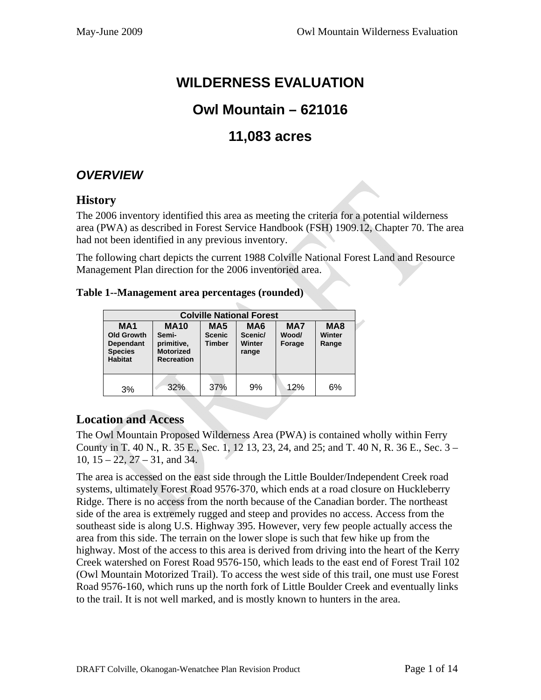# **WILDERNESS EVALUATION**

# **Owl Mountain – 621016**

# **11,083 acres**

# *OVERVIEW*

### **History**

The 2006 inventory identified this area as meeting the criteria for a potential wilderness area (PWA) as described in Forest Service Handbook (FSH) 1909.12, Chapter 70. The area had not been identified in any previous inventory.

The following chart depicts the current 1988 Colville National Forest Land and Resource Management Plan direction for the 2006 inventoried area.

#### **Table 1--Management area percentages (rounded)**

| <b>Colville National Forest</b>                                                         |                                                                                                                           |     |                                               |                        |                                    |  |
|-----------------------------------------------------------------------------------------|---------------------------------------------------------------------------------------------------------------------------|-----|-----------------------------------------------|------------------------|------------------------------------|--|
| <b>MA1</b><br><b>Old Growth</b><br><b>Dependant</b><br><b>Species</b><br><b>Habitat</b> | <b>MA10</b><br>MA <sub>5</sub><br><b>Scenic</b><br>Semi-<br>primitive,<br>Timber<br><b>Motorized</b><br><b>Recreation</b> |     | MA <sub>6</sub><br>Scenic/<br>Winter<br>range | MA7<br>Wood/<br>Forage | MA <sub>8</sub><br>Winter<br>Range |  |
| 3%                                                                                      | 32%                                                                                                                       | 37% | 9%                                            | 12%                    | 6%                                 |  |

# **Location and Access**

The Owl Mountain Proposed Wilderness Area (PWA) is contained wholly within Ferry County in T. 40 N., R. 35 E., Sec. 1, 12 13, 23, 24, and 25; and T. 40 N, R. 36 E., Sec. 3 – 10, 15 – 22, 27 – 31, and 34.

The area is accessed on the east side through the Little Boulder/Independent Creek road systems, ultimately Forest Road 9576-370, which ends at a road closure on Huckleberry Ridge. There is no access from the north because of the Canadian border. The northeast side of the area is extremely rugged and steep and provides no access. Access from the southeast side is along U.S. Highway 395. However, very few people actually access the area from this side. The terrain on the lower slope is such that few hike up from the highway. Most of the access to this area is derived from driving into the heart of the Kerry Creek watershed on Forest Road 9576-150, which leads to the east end of Forest Trail 102 (Owl Mountain Motorized Trail). To access the west side of this trail, one must use Forest Road 9576-160, which runs up the north fork of Little Boulder Creek and eventually links to the trail. It is not well marked, and is mostly known to hunters in the area.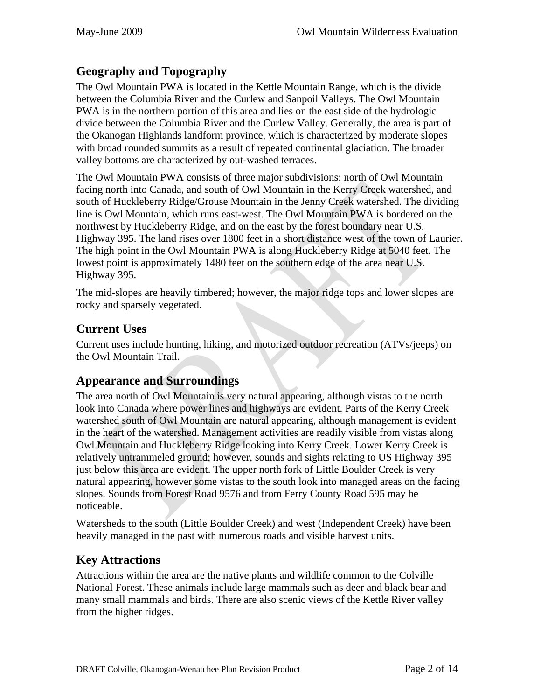# **Geography and Topography**

The Owl Mountain PWA is located in the Kettle Mountain Range, which is the divide between the Columbia River and the Curlew and Sanpoil Valleys. The Owl Mountain PWA is in the northern portion of this area and lies on the east side of the hydrologic divide between the Columbia River and the Curlew Valley. Generally, the area is part of the Okanogan Highlands landform province, which is characterized by moderate slopes with broad rounded summits as a result of repeated continental glaciation. The broader valley bottoms are characterized by out-washed terraces.

The Owl Mountain PWA consists of three major subdivisions: north of Owl Mountain facing north into Canada, and south of Owl Mountain in the Kerry Creek watershed, and south of Huckleberry Ridge/Grouse Mountain in the Jenny Creek watershed. The dividing line is Owl Mountain, which runs east-west. The Owl Mountain PWA is bordered on the northwest by Huckleberry Ridge, and on the east by the forest boundary near U.S. Highway 395. The land rises over 1800 feet in a short distance west of the town of Laurier. The high point in the Owl Mountain PWA is along Huckleberry Ridge at 5040 feet. The lowest point is approximately 1480 feet on the southern edge of the area near U.S. Highway 395.

The mid-slopes are heavily timbered; however, the major ridge tops and lower slopes are rocky and sparsely vegetated.

# **Current Uses**

Current uses include hunting, hiking, and motorized outdoor recreation (ATVs/jeeps) on the Owl Mountain Trail.

# **Appearance and Surroundings**

The area north of Owl Mountain is very natural appearing, although vistas to the north look into Canada where power lines and highways are evident. Parts of the Kerry Creek watershed south of Owl Mountain are natural appearing, although management is evident in the heart of the watershed. Management activities are readily visible from vistas along Owl Mountain and Huckleberry Ridge looking into Kerry Creek. Lower Kerry Creek is relatively untrammeled ground; however, sounds and sights relating to US Highway 395 just below this area are evident. The upper north fork of Little Boulder Creek is very natural appearing, however some vistas to the south look into managed areas on the facing slopes. Sounds from Forest Road 9576 and from Ferry County Road 595 may be noticeable.

Watersheds to the south (Little Boulder Creek) and west (Independent Creek) have been heavily managed in the past with numerous roads and visible harvest units.

# **Key Attractions**

Attractions within the area are the native plants and wildlife common to the Colville National Forest. These animals include large mammals such as deer and black bear and many small mammals and birds. There are also scenic views of the Kettle River valley from the higher ridges.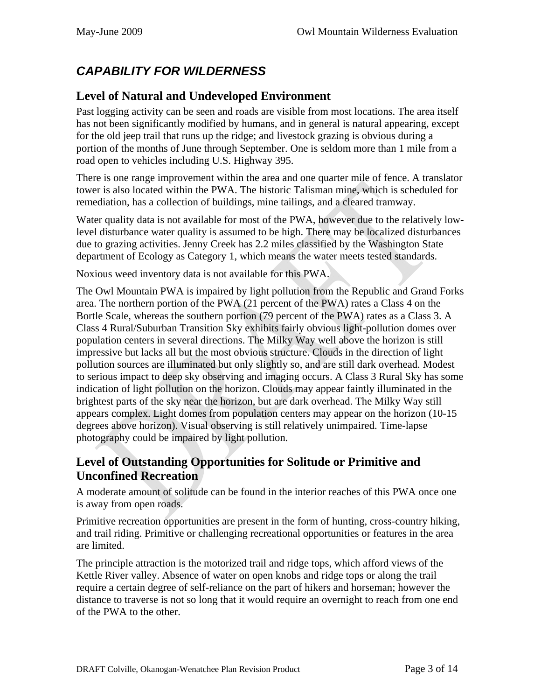# *CAPABILITY FOR WILDERNESS*

# **Level of Natural and Undeveloped Environment**

Past logging activity can be seen and roads are visible from most locations. The area itself has not been significantly modified by humans, and in general is natural appearing, except for the old jeep trail that runs up the ridge; and livestock grazing is obvious during a portion of the months of June through September. One is seldom more than 1 mile from a road open to vehicles including U.S. Highway 395.

There is one range improvement within the area and one quarter mile of fence. A translator tower is also located within the PWA. The historic Talisman mine, which is scheduled for remediation, has a collection of buildings, mine tailings, and a cleared tramway.

Water quality data is not available for most of the PWA, however due to the relatively lowlevel disturbance water quality is assumed to be high. There may be localized disturbances due to grazing activities. Jenny Creek has 2.2 miles classified by the Washington State department of Ecology as Category 1, which means the water meets tested standards.

Noxious weed inventory data is not available for this PWA.

The Owl Mountain PWA is impaired by light pollution from the Republic and Grand Forks area. The northern portion of the PWA (21 percent of the PWA) rates a Class 4 on the Bortle Scale, whereas the southern portion (79 percent of the PWA) rates as a Class 3. A Class 4 Rural/Suburban Transition Sky exhibits fairly obvious light-pollution domes over population centers in several directions. The Milky Way well above the horizon is still impressive but lacks all but the most obvious structure. Clouds in the direction of light pollution sources are illuminated but only slightly so, and are still dark overhead. Modest to serious impact to deep sky observing and imaging occurs. A Class 3 Rural Sky has some indication of light pollution on the horizon. Clouds may appear faintly illuminated in the brightest parts of the sky near the horizon, but are dark overhead. The Milky Way still appears complex. Light domes from population centers may appear on the horizon (10-15 degrees above horizon). Visual observing is still relatively unimpaired. Time-lapse photography could be impaired by light pollution.

### **Level of Outstanding Opportunities for Solitude or Primitive and Unconfined Recreation**

A moderate amount of solitude can be found in the interior reaches of this PWA once one is away from open roads.

Primitive recreation opportunities are present in the form of hunting, cross-country hiking, and trail riding. Primitive or challenging recreational opportunities or features in the area are limited.

The principle attraction is the motorized trail and ridge tops, which afford views of the Kettle River valley. Absence of water on open knobs and ridge tops or along the trail require a certain degree of self-reliance on the part of hikers and horseman; however the distance to traverse is not so long that it would require an overnight to reach from one end of the PWA to the other.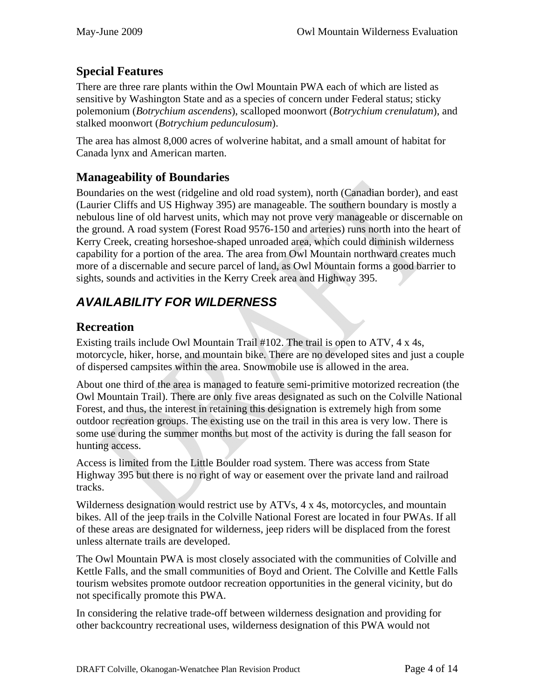# **Special Features**

There are three rare plants within the Owl Mountain PWA each of which are listed as sensitive by Washington State and as a species of concern under Federal status; sticky polemonium (*Botrychium ascendens*), scalloped moonwort (*Botrychium crenulatum*), and stalked moonwort (*Botrychium pedunculosum*).

The area has almost 8,000 acres of wolverine habitat, and a small amount of habitat for Canada lynx and American marten.

# **Manageability of Boundaries**

Boundaries on the west (ridgeline and old road system), north (Canadian border), and east (Laurier Cliffs and US Highway 395) are manageable. The southern boundary is mostly a nebulous line of old harvest units, which may not prove very manageable or discernable on the ground. A road system (Forest Road 9576-150 and arteries) runs north into the heart of Kerry Creek, creating horseshoe-shaped unroaded area, which could diminish wilderness capability for a portion of the area. The area from Owl Mountain northward creates much more of a discernable and secure parcel of land, as Owl Mountain forms a good barrier to sights, sounds and activities in the Kerry Creek area and Highway 395.

# *AVAILABILITY FOR WILDERNESS*

# **Recreation**

Existing trails include Owl Mountain Trail #102. The trail is open to ATV, 4 x 4s, motorcycle, hiker, horse, and mountain bike. There are no developed sites and just a couple of dispersed campsites within the area. Snowmobile use is allowed in the area.

About one third of the area is managed to feature semi-primitive motorized recreation (the Owl Mountain Trail). There are only five areas designated as such on the Colville National Forest, and thus, the interest in retaining this designation is extremely high from some outdoor recreation groups. The existing use on the trail in this area is very low. There is some use during the summer months but most of the activity is during the fall season for hunting access.

Access is limited from the Little Boulder road system. There was access from State Highway 395 but there is no right of way or easement over the private land and railroad tracks.

Wilderness designation would restrict use by ATVs, 4 x 4s, motorcycles, and mountain bikes. All of the jeep trails in the Colville National Forest are located in four PWAs. If all of these areas are designated for wilderness, jeep riders will be displaced from the forest unless alternate trails are developed.

The Owl Mountain PWA is most closely associated with the communities of Colville and Kettle Falls, and the small communities of Boyd and Orient. The Colville and Kettle Falls tourism websites promote outdoor recreation opportunities in the general vicinity, but do not specifically promote this PWA.

In considering the relative trade-off between wilderness designation and providing for other backcountry recreational uses, wilderness designation of this PWA would not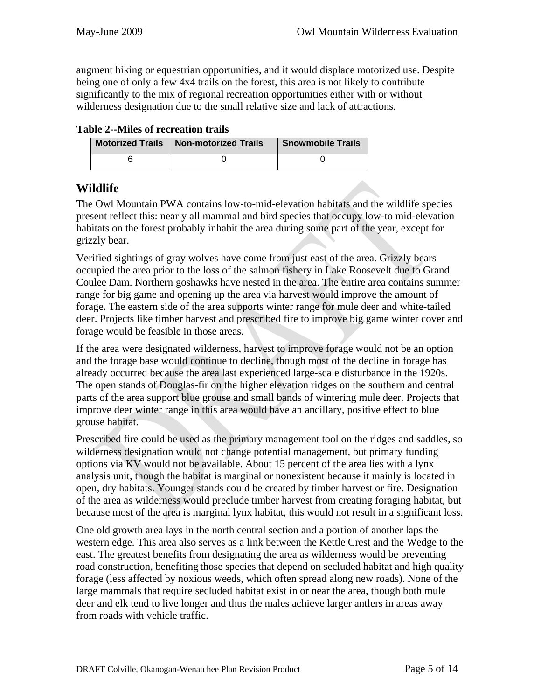augment hiking or equestrian opportunities, and it would displace motorized use. Despite being one of only a few 4x4 trails on the forest, this area is not likely to contribute significantly to the mix of regional recreation opportunities either with or without wilderness designation due to the small relative size and lack of attractions.

| <b>Table 2--Miles of recreation trails</b> |  |  |
|--------------------------------------------|--|--|
|--------------------------------------------|--|--|

| Motorized Trails   Non-motorized Trails | <b>Snowmobile Trails</b> |  |
|-----------------------------------------|--------------------------|--|
|                                         |                          |  |

### **Wildlife**

The Owl Mountain PWA contains low-to-mid-elevation habitats and the wildlife species present reflect this: nearly all mammal and bird species that occupy low-to mid-elevation habitats on the forest probably inhabit the area during some part of the year, except for grizzly bear.

Verified sightings of gray wolves have come from just east of the area. Grizzly bears occupied the area prior to the loss of the salmon fishery in Lake Roosevelt due to Grand Coulee Dam. Northern goshawks have nested in the area. The entire area contains summer range for big game and opening up the area via harvest would improve the amount of forage. The eastern side of the area supports winter range for mule deer and white-tailed deer. Projects like timber harvest and prescribed fire to improve big game winter cover and forage would be feasible in those areas.

If the area were designated wilderness, harvest to improve forage would not be an option and the forage base would continue to decline, though most of the decline in forage has already occurred because the area last experienced large-scale disturbance in the 1920s. The open stands of Douglas-fir on the higher elevation ridges on the southern and central parts of the area support blue grouse and small bands of wintering mule deer. Projects that improve deer winter range in this area would have an ancillary, positive effect to blue grouse habitat.

Prescribed fire could be used as the primary management tool on the ridges and saddles, so wilderness designation would not change potential management, but primary funding options via KV would not be available. About 15 percent of the area lies with a lynx analysis unit, though the habitat is marginal or nonexistent because it mainly is located in open, dry habitats. Younger stands could be created by timber harvest or fire. Designation of the area as wilderness would preclude timber harvest from creating foraging habitat, but because most of the area is marginal lynx habitat, this would not result in a significant loss.

One old growth area lays in the north central section and a portion of another laps the western edge. This area also serves as a link between the Kettle Crest and the Wedge to the east. The greatest benefits from designating the area as wilderness would be preventing road construction, benefiting those species that depend on secluded habitat and high quality forage (less affected by noxious weeds, which often spread along new roads). None of the large mammals that require secluded habitat exist in or near the area, though both mule deer and elk tend to live longer and thus the males achieve larger antlers in areas away from roads with vehicle traffic.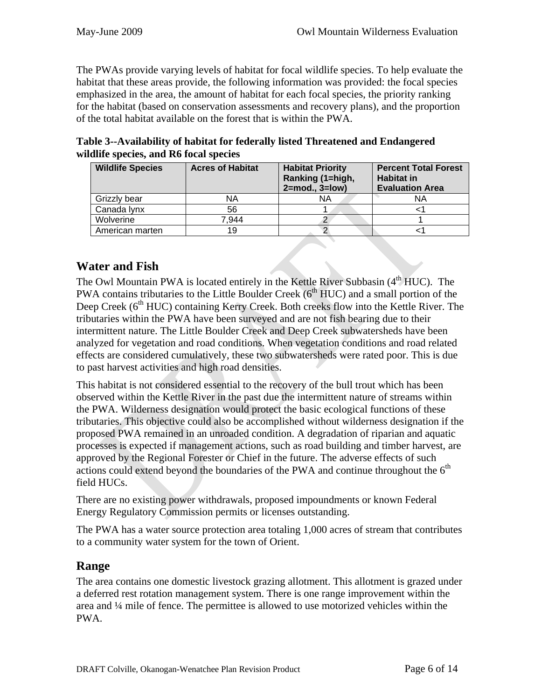The PWAs provide varying levels of habitat for focal wildlife species. To help evaluate the habitat that these areas provide, the following information was provided: the focal species emphasized in the area, the amount of habitat for each focal species, the priority ranking for the habitat (based on conservation assessments and recovery plans), and the proportion of the total habitat available on the forest that is within the PWA.

**Table 3--Availability of habitat for federally listed Threatened and Endangered wildlife species, and R6 focal species** 

| <b>Wildlife Species</b> | <b>Acres of Habitat</b> | <b>Habitat Priority</b><br>Ranking (1=high,<br>$2 = mod.$ , $3 = low$ ) | <b>Percent Total Forest</b><br><b>Habitat in</b><br><b>Evaluation Area</b> |
|-------------------------|-------------------------|-------------------------------------------------------------------------|----------------------------------------------------------------------------|
| Grizzly bear            | NA                      | ΝA                                                                      | ΝA                                                                         |
| Canada lynx             | 56                      |                                                                         |                                                                            |
| Wolverine               | 7.944                   |                                                                         |                                                                            |
| American marten         | 19                      |                                                                         |                                                                            |

# **Water and Fish**

The Owl Mountain PWA is located entirely in the Kettle River Subbasin (4<sup>th</sup> HUC). The PWA contains tributaries to the Little Boulder Creek  $(6<sup>th</sup> HUC)$  and a small portion of the Deep Creek ( $6<sup>th</sup> HUC$ ) containing Kerry Creek. Both creeks flow into the Kettle River. The tributaries within the PWA have been surveyed and are not fish bearing due to their intermittent nature. The Little Boulder Creek and Deep Creek subwatersheds have been analyzed for vegetation and road conditions. When vegetation conditions and road related effects are considered cumulatively, these two subwatersheds were rated poor. This is due to past harvest activities and high road densities.

This habitat is not considered essential to the recovery of the bull trout which has been observed within the Kettle River in the past due the intermittent nature of streams within the PWA. Wilderness designation would protect the basic ecological functions of these tributaries. This objective could also be accomplished without wilderness designation if the proposed PWA remained in an unroaded condition. A degradation of riparian and aquatic processes is expected if management actions, such as road building and timber harvest, are approved by the Regional Forester or Chief in the future. The adverse effects of such actions could extend beyond the boundaries of the PWA and continue throughout the  $6<sup>th</sup>$ field HUCs.

There are no existing power withdrawals, proposed impoundments or known Federal Energy Regulatory Commission permits or licenses outstanding.

The PWA has a water source protection area totaling 1,000 acres of stream that contributes to a community water system for the town of Orient.

### **Range**

The area contains one domestic livestock grazing allotment. This allotment is grazed under a deferred rest rotation management system. There is one range improvement within the area and ¼ mile of fence. The permittee is allowed to use motorized vehicles within the PWA.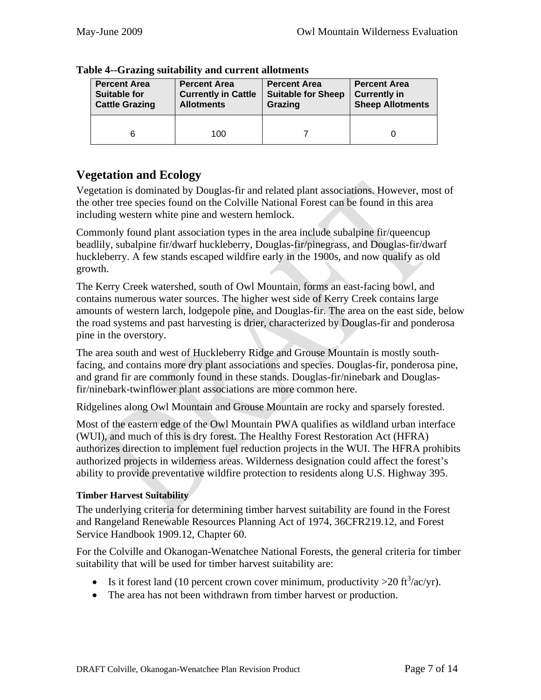| <b>Percent Area</b>   | <b>Percent Area</b>        | <b>Percent Area</b>       | <b>Percent Area</b>     |  |
|-----------------------|----------------------------|---------------------------|-------------------------|--|
| <b>Suitable for</b>   | <b>Currently in Cattle</b> | <b>Suitable for Sheep</b> | <b>Currently in</b>     |  |
| <b>Cattle Grazing</b> | <b>Allotments</b>          | Grazing                   | <b>Sheep Allotments</b> |  |
|                       | 100                        |                           |                         |  |

#### **Table 4--Grazing suitability and current allotments**

### **Vegetation and Ecology**

Vegetation is dominated by Douglas-fir and related plant associations. However, most of the other tree species found on the Colville National Forest can be found in this area including western white pine and western hemlock.

Commonly found plant association types in the area include subalpine fir/queencup beadlily, subalpine fir/dwarf huckleberry, Douglas-fir/pinegrass, and Douglas-fir/dwarf huckleberry. A few stands escaped wildfire early in the 1900s, and now qualify as old growth.

The Kerry Creek watershed, south of Owl Mountain, forms an east-facing bowl, and contains numerous water sources. The higher west side of Kerry Creek contains large amounts of western larch, lodgepole pine, and Douglas-fir. The area on the east side, below the road systems and past harvesting is drier, characterized by Douglas-fir and ponderosa pine in the overstory.

The area south and west of Huckleberry Ridge and Grouse Mountain is mostly southfacing, and contains more dry plant associations and species. Douglas-fir, ponderosa pine, and grand fir are commonly found in these stands. Douglas-fir/ninebark and Douglasfir/ninebark-twinflower plant associations are more common here.

Ridgelines along Owl Mountain and Grouse Mountain are rocky and sparsely forested.

Most of the eastern edge of the Owl Mountain PWA qualifies as wildland urban interface (WUI), and much of this is dry forest. The Healthy Forest Restoration Act (HFRA) authorizes direction to implement fuel reduction projects in the WUI. The HFRA prohibits authorized projects in wilderness areas. Wilderness designation could affect the forest's ability to provide preventative wildfire protection to residents along U.S. Highway 395.

#### **Timber Harvest Suitability**

The underlying criteria for determining timber harvest suitability are found in the Forest and Rangeland Renewable Resources Planning Act of 1974, 36CFR219.12, and Forest Service Handbook 1909.12, Chapter 60.

For the Colville and Okanogan-Wenatchee National Forests, the general criteria for timber suitability that will be used for timber harvest suitability are:

- Is it forest land (10 percent crown cover minimum, productivity  $>20$  ft<sup>3</sup>/ac/yr).
- The area has not been withdrawn from timber harvest or production.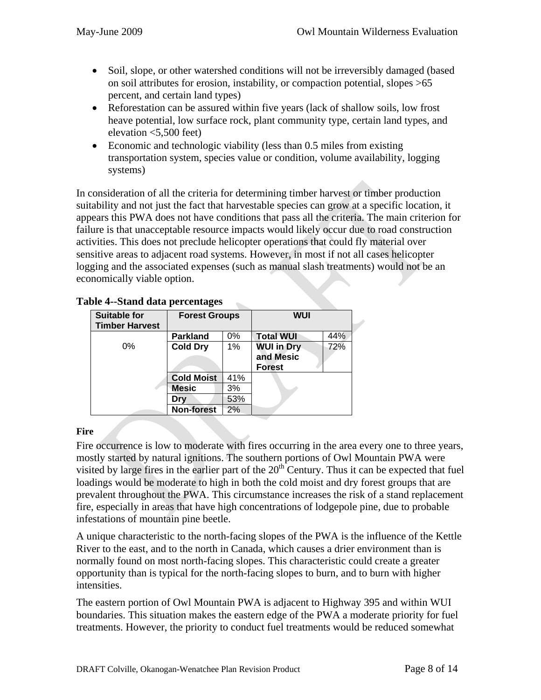- Soil, slope, or other watershed conditions will not be irreversibly damaged (based on soil attributes for erosion, instability, or compaction potential, slopes >65 percent, and certain land types)
- Reforestation can be assured within five years (lack of shallow soils, low frost heave potential, low surface rock, plant community type, certain land types, and elevation <5,500 feet)
- Economic and technologic viability (less than 0.5 miles from existing transportation system, species value or condition, volume availability, logging systems)

In consideration of all the criteria for determining timber harvest or timber production suitability and not just the fact that harvestable species can grow at a specific location, it appears this PWA does not have conditions that pass all the criteria. The main criterion for failure is that unacceptable resource impacts would likely occur due to road construction activities. This does not preclude helicopter operations that could fly material over sensitive areas to adjacent road systems. However, in most if not all cases helicopter logging and the associated expenses (such as manual slash treatments) would not be an economically viable option.

| <b>Suitable for</b><br><b>Timber Harvest</b> | <b>Forest Groups</b> |     | <b>WUI</b>                                      |     |
|----------------------------------------------|----------------------|-----|-------------------------------------------------|-----|
|                                              | <b>Parkland</b>      | 0%  | <b>Total WUI</b>                                | 44% |
| $0\%$                                        | <b>Cold Dry</b>      | 1%  | <b>WUI in Dry</b><br>and Mesic<br><b>Forest</b> | 72% |
|                                              | <b>Cold Moist</b>    | 41% |                                                 |     |
|                                              | <b>Mesic</b>         | 3%  |                                                 |     |
|                                              | Drv                  | 53% |                                                 |     |
|                                              | <b>Non-forest</b>    | 2%  |                                                 |     |

#### **Table 4--Stand data percentages**

#### **Fire**

Fire occurrence is low to moderate with fires occurring in the area every one to three years, mostly started by natural ignitions. The southern portions of Owl Mountain PWA were visited by large fires in the earlier part of the  $20<sup>th</sup>$  Century. Thus it can be expected that fuel loadings would be moderate to high in both the cold moist and dry forest groups that are prevalent throughout the PWA. This circumstance increases the risk of a stand replacement fire, especially in areas that have high concentrations of lodgepole pine, due to probable infestations of mountain pine beetle.

A unique characteristic to the north-facing slopes of the PWA is the influence of the Kettle River to the east, and to the north in Canada, which causes a drier environment than is normally found on most north-facing slopes. This characteristic could create a greater opportunity than is typical for the north-facing slopes to burn, and to burn with higher intensities.

The eastern portion of Owl Mountain PWA is adjacent to Highway 395 and within WUI boundaries. This situation makes the eastern edge of the PWA a moderate priority for fuel treatments. However, the priority to conduct fuel treatments would be reduced somewhat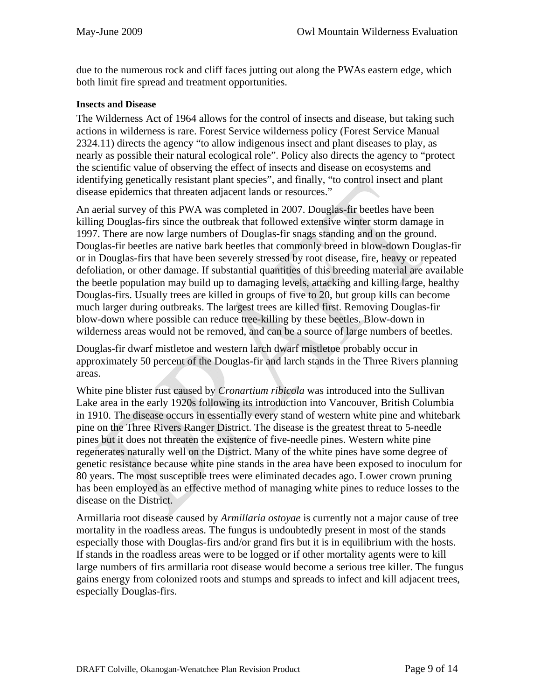due to the numerous rock and cliff faces jutting out along the PWAs eastern edge, which both limit fire spread and treatment opportunities.

#### **Insects and Disease**

The Wilderness Act of 1964 allows for the control of insects and disease, but taking such actions in wilderness is rare. Forest Service wilderness policy (Forest Service Manual 2324.11) directs the agency "to allow indigenous insect and plant diseases to play, as nearly as possible their natural ecological role". Policy also directs the agency to "protect the scientific value of observing the effect of insects and disease on ecosystems and identifying genetically resistant plant species", and finally, "to control insect and plant disease epidemics that threaten adjacent lands or resources."

An aerial survey of this PWA was completed in 2007. Douglas-fir beetles have been killing Douglas-firs since the outbreak that followed extensive winter storm damage in 1997. There are now large numbers of Douglas-fir snags standing and on the ground. Douglas-fir beetles are native bark beetles that commonly breed in blow-down Douglas-fir or in Douglas-firs that have been severely stressed by root disease, fire, heavy or repeated defoliation, or other damage. If substantial quantities of this breeding material are available the beetle population may build up to damaging levels, attacking and killing large, healthy Douglas-firs. Usually trees are killed in groups of five to 20, but group kills can become much larger during outbreaks. The largest trees are killed first. Removing Douglas-fir blow-down where possible can reduce tree-killing by these beetles. Blow-down in wilderness areas would not be removed, and can be a source of large numbers of beetles.

Douglas-fir dwarf mistletoe and western larch dwarf mistletoe probably occur in approximately 50 percent of the Douglas-fir and larch stands in the Three Rivers planning areas.

White pine blister rust caused by *Cronartium ribicola* was introduced into the Sullivan Lake area in the early 1920s following its introduction into Vancouver, British Columbia in 1910. The disease occurs in essentially every stand of western white pine and whitebark pine on the Three Rivers Ranger District. The disease is the greatest threat to 5-needle pines but it does not threaten the existence of five-needle pines. Western white pine regenerates naturally well on the District. Many of the white pines have some degree of genetic resistance because white pine stands in the area have been exposed to inoculum for 80 years. The most susceptible trees were eliminated decades ago. Lower crown pruning has been employed as an effective method of managing white pines to reduce losses to the disease on the District.

Armillaria root disease caused by *Armillaria ostoyae* is currently not a major cause of tree mortality in the roadless areas. The fungus is undoubtedly present in most of the stands especially those with Douglas-firs and/or grand firs but it is in equilibrium with the hosts. If stands in the roadless areas were to be logged or if other mortality agents were to kill large numbers of firs armillaria root disease would become a serious tree killer. The fungus gains energy from colonized roots and stumps and spreads to infect and kill adjacent trees, especially Douglas-firs.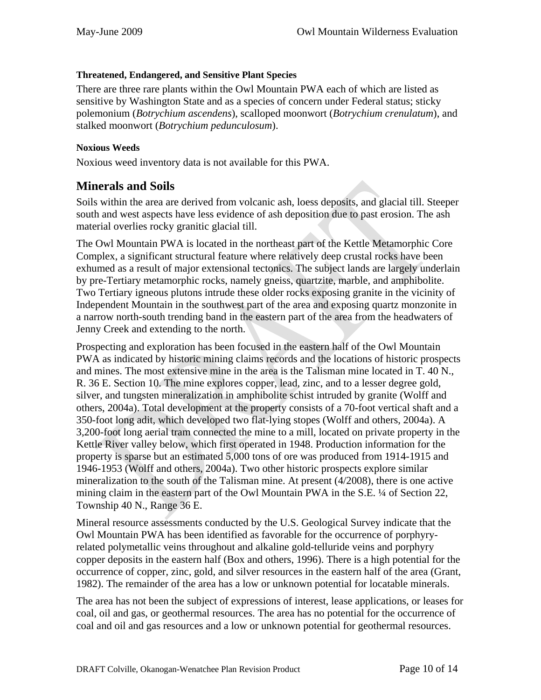#### **Threatened, Endangered, and Sensitive Plant Species**

There are three rare plants within the Owl Mountain PWA each of which are listed as sensitive by Washington State and as a species of concern under Federal status; sticky polemonium (*Botrychium ascendens*), scalloped moonwort (*Botrychium crenulatum*), and stalked moonwort (*Botrychium pedunculosum*).

#### **Noxious Weeds**

Noxious weed inventory data is not available for this PWA.

### **Minerals and Soils**

Soils within the area are derived from volcanic ash, loess deposits, and glacial till. Steeper south and west aspects have less evidence of ash deposition due to past erosion. The ash material overlies rocky granitic glacial till.

The Owl Mountain PWA is located in the northeast part of the Kettle Metamorphic Core Complex, a significant structural feature where relatively deep crustal rocks have been exhumed as a result of major extensional tectonics. The subject lands are largely underlain by pre-Tertiary metamorphic rocks, namely gneiss, quartzite, marble, and amphibolite. Two Tertiary igneous plutons intrude these older rocks exposing granite in the vicinity of Independent Mountain in the southwest part of the area and exposing quartz monzonite in a narrow north-south trending band in the eastern part of the area from the headwaters of Jenny Creek and extending to the north.

Prospecting and exploration has been focused in the eastern half of the Owl Mountain PWA as indicated by historic mining claims records and the locations of historic prospects and mines. The most extensive mine in the area is the Talisman mine located in T. 40 N., R. 36 E. Section 10. The mine explores copper, lead, zinc, and to a lesser degree gold, silver, and tungsten mineralization in amphibolite schist intruded by granite (Wolff and others, 2004a). Total development at the property consists of a 70-foot vertical shaft and a 350-foot long adit, which developed two flat-lying stopes (Wolff and others, 2004a). A 3,200-foot long aerial tram connected the mine to a mill, located on private property in the Kettle River valley below, which first operated in 1948. Production information for the property is sparse but an estimated 5,000 tons of ore was produced from 1914-1915 and 1946-1953 (Wolff and others, 2004a). Two other historic prospects explore similar mineralization to the south of the Talisman mine. At present (4/2008), there is one active mining claim in the eastern part of the Owl Mountain PWA in the S.E. ¼ of Section 22, Township 40 N., Range 36 E.

Mineral resource assessments conducted by the U.S. Geological Survey indicate that the Owl Mountain PWA has been identified as favorable for the occurrence of porphyryrelated polymetallic veins throughout and alkaline gold-telluride veins and porphyry copper deposits in the eastern half (Box and others, 1996). There is a high potential for the occurrence of copper, zinc, gold, and silver resources in the eastern half of the area (Grant, 1982). The remainder of the area has a low or unknown potential for locatable minerals.

The area has not been the subject of expressions of interest, lease applications, or leases for coal, oil and gas, or geothermal resources. The area has no potential for the occurrence of coal and oil and gas resources and a low or unknown potential for geothermal resources.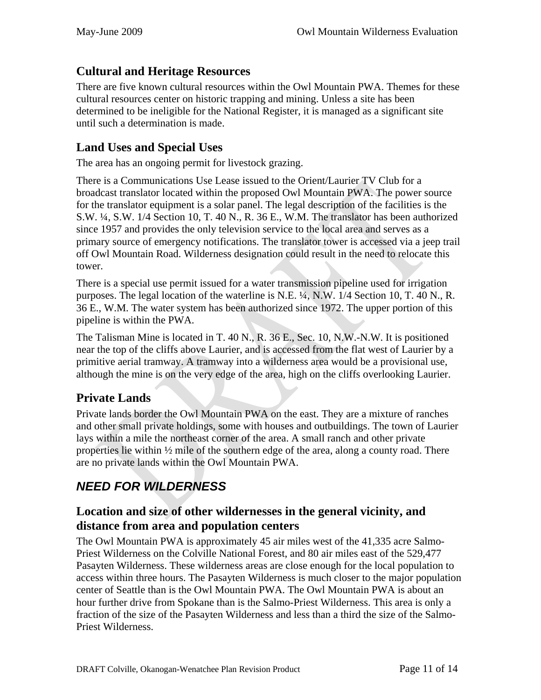# **Cultural and Heritage Resources**

There are five known cultural resources within the Owl Mountain PWA. Themes for these cultural resources center on historic trapping and mining. Unless a site has been determined to be ineligible for the National Register, it is managed as a significant site until such a determination is made.

# **Land Uses and Special Uses**

The area has an ongoing permit for livestock grazing.

There is a Communications Use Lease issued to the Orient/Laurier TV Club for a broadcast translator located within the proposed Owl Mountain PWA. The power source for the translator equipment is a solar panel. The legal description of the facilities is the S.W. ¼, S.W. 1/4 Section 10, T. 40 N., R. 36 E., W.M. The translator has been authorized since 1957 and provides the only television service to the local area and serves as a primary source of emergency notifications. The translator tower is accessed via a jeep trail off Owl Mountain Road. Wilderness designation could result in the need to relocate this tower.

There is a special use permit issued for a water transmission pipeline used for irrigation purposes. The legal location of the waterline is N.E. ¼, N.W. 1/4 Section 10, T. 40 N., R. 36 E., W.M. The water system has been authorized since 1972. The upper portion of this pipeline is within the PWA.

The Talisman Mine is located in T. 40 N., R. 36 E., Sec. 10, N.W.-N.W. It is positioned near the top of the cliffs above Laurier, and is accessed from the flat west of Laurier by a primitive aerial tramway. A tramway into a wilderness area would be a provisional use, although the mine is on the very edge of the area, high on the cliffs overlooking Laurier.

# **Private Lands**

Private lands border the Owl Mountain PWA on the east. They are a mixture of ranches and other small private holdings, some with houses and outbuildings. The town of Laurier lays within a mile the northeast corner of the area. A small ranch and other private properties lie within  $\frac{1}{2}$  mile of the southern edge of the area, along a county road. There are no private lands within the Owl Mountain PWA.

# *NEED FOR WILDERNESS*

### **Location and size of other wildernesses in the general vicinity, and distance from area and population centers**

The Owl Mountain PWA is approximately 45 air miles west of the 41,335 acre Salmo-Priest Wilderness on the Colville National Forest, and 80 air miles east of the 529,477 Pasayten Wilderness. These wilderness areas are close enough for the local population to access within three hours. The Pasayten Wilderness is much closer to the major population center of Seattle than is the Owl Mountain PWA. The Owl Mountain PWA is about an hour further drive from Spokane than is the Salmo-Priest Wilderness. This area is only a fraction of the size of the Pasayten Wilderness and less than a third the size of the Salmo-Priest Wilderness.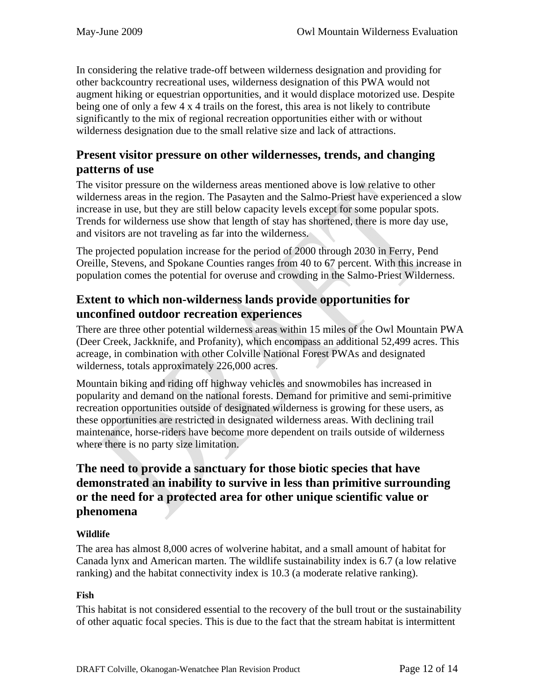In considering the relative trade-off between wilderness designation and providing for other backcountry recreational uses, wilderness designation of this PWA would not augment hiking or equestrian opportunities, and it would displace motorized use. Despite being one of only a few 4 x 4 trails on the forest, this area is not likely to contribute significantly to the mix of regional recreation opportunities either with or without wilderness designation due to the small relative size and lack of attractions.

### **Present visitor pressure on other wildernesses, trends, and changing patterns of use**

The visitor pressure on the wilderness areas mentioned above is low relative to other wilderness areas in the region. The Pasayten and the Salmo-Priest have experienced a slow increase in use, but they are still below capacity levels except for some popular spots. Trends for wilderness use show that length of stay has shortened, there is more day use, and visitors are not traveling as far into the wilderness.

The projected population increase for the period of 2000 through 2030 in Ferry, Pend Oreille, Stevens, and Spokane Counties ranges from 40 to 67 percent. With this increase in population comes the potential for overuse and crowding in the Salmo-Priest Wilderness.

# **Extent to which non-wilderness lands provide opportunities for unconfined outdoor recreation experiences**

There are three other potential wilderness areas within 15 miles of the Owl Mountain PWA (Deer Creek, Jackknife, and Profanity), which encompass an additional 52,499 acres. This acreage, in combination with other Colville National Forest PWAs and designated wilderness, totals approximately 226,000 acres.

Mountain biking and riding off highway vehicles and snowmobiles has increased in popularity and demand on the national forests. Demand for primitive and semi-primitive recreation opportunities outside of designated wilderness is growing for these users, as these opportunities are restricted in designated wilderness areas. With declining trail maintenance, horse-riders have become more dependent on trails outside of wilderness where there is no party size limitation.

# **The need to provide a sanctuary for those biotic species that have demonstrated an inability to survive in less than primitive surrounding or the need for a protected area for other unique scientific value or phenomena**

#### **Wildlife**

The area has almost 8,000 acres of wolverine habitat, and a small amount of habitat for Canada lynx and American marten. The wildlife sustainability index is 6.7 (a low relative ranking) and the habitat connectivity index is 10.3 (a moderate relative ranking).

#### **Fish**

This habitat is not considered essential to the recovery of the bull trout or the sustainability of other aquatic focal species. This is due to the fact that the stream habitat is intermittent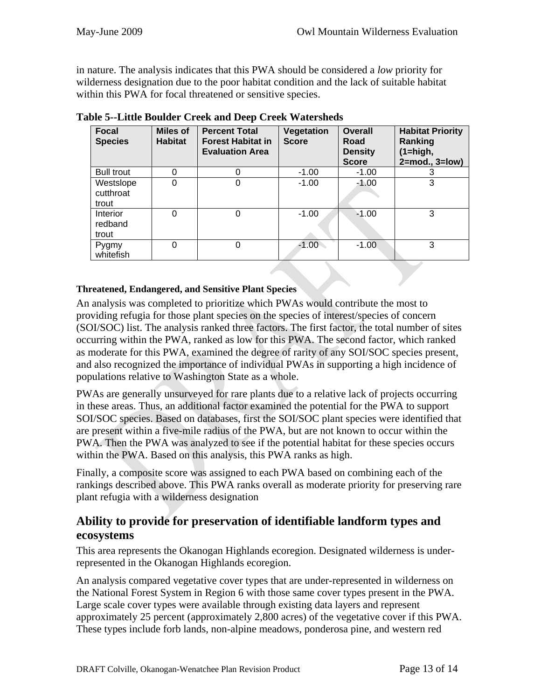in nature. The analysis indicates that this PWA should be considered a *low* priority for wilderness designation due to the poor habitat condition and the lack of suitable habitat within this PWA for focal threatened or sensitive species.

| <b>Focal</b><br><b>Species</b>  | <b>Miles of</b><br><b>Habitat</b> | <b>Percent Total</b><br><b>Forest Habitat in</b><br><b>Evaluation Area</b> | Vegetation<br><b>Score</b> | Overall<br>Road<br><b>Density</b><br><b>Score</b> | <b>Habitat Priority</b><br>Ranking<br>$(1 = high,$<br>$2 = mod.$ , $3 = low$ ) |
|---------------------------------|-----------------------------------|----------------------------------------------------------------------------|----------------------------|---------------------------------------------------|--------------------------------------------------------------------------------|
| <b>Bull trout</b>               | 0                                 |                                                                            | $-1.00$                    | $-1.00$                                           | 3                                                                              |
| Westslope<br>cutthroat<br>trout | 0                                 | 0                                                                          | $-1.00$                    | $-1.00$                                           | 3                                                                              |
| Interior<br>redband<br>trout    | 0                                 | 0                                                                          | $-1.00$                    | $-1.00$                                           | 3                                                                              |
| Pygmy<br>whitefish              | 0                                 | 0                                                                          | $-1.00$                    | $-1.00$                                           | 3                                                                              |

**Table 5--Little Boulder Creek and Deep Creek Watersheds** 

#### **Threatened, Endangered, and Sensitive Plant Species**

An analysis was completed to prioritize which PWAs would contribute the most to providing refugia for those plant species on the species of interest/species of concern (SOI/SOC) list. The analysis ranked three factors. The first factor, the total number of sites occurring within the PWA, ranked as low for this PWA. The second factor, which ranked as moderate for this PWA, examined the degree of rarity of any SOI/SOC species present, and also recognized the importance of individual PWAs in supporting a high incidence of populations relative to Washington State as a whole.

PWAs are generally unsurveyed for rare plants due to a relative lack of projects occurring in these areas. Thus, an additional factor examined the potential for the PWA to support SOI/SOC species. Based on databases, first the SOI/SOC plant species were identified that are present within a five-mile radius of the PWA, but are not known to occur within the PWA. Then the PWA was analyzed to see if the potential habitat for these species occurs within the PWA. Based on this analysis, this PWA ranks as high.

Finally, a composite score was assigned to each PWA based on combining each of the rankings described above. This PWA ranks overall as moderate priority for preserving rare plant refugia with a wilderness designation

### **Ability to provide for preservation of identifiable landform types and ecosystems**

This area represents the Okanogan Highlands ecoregion. Designated wilderness is underrepresented in the Okanogan Highlands ecoregion.

An analysis compared vegetative cover types that are under-represented in wilderness on the National Forest System in Region 6 with those same cover types present in the PWA. Large scale cover types were available through existing data layers and represent approximately 25 percent (approximately 2,800 acres) of the vegetative cover if this PWA. These types include forb lands, non-alpine meadows, ponderosa pine, and western red